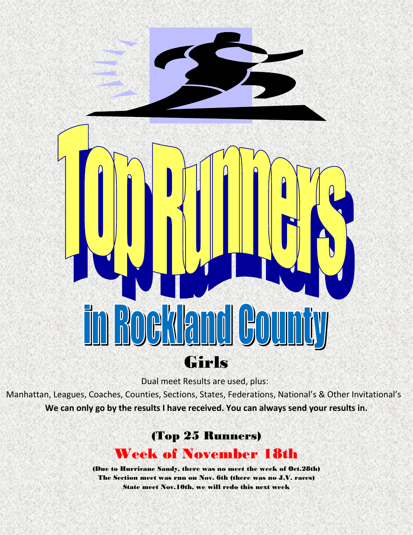

Dual meet Results are used, plus:

Manhattan, Leagues, Coaches, Counties, Sections, States, Federations, National's & Other Invitational's **We can only go by the results I have received. You can always send your results in.**

## (Top 25 Runners) Week of November 18th

(Due to Hurricane Sandy, there was no meet the week of Oct.28th) The Section meet was run on Nov. 6th (there was no J.V. races) State meet Nov.10th, we will redo this next week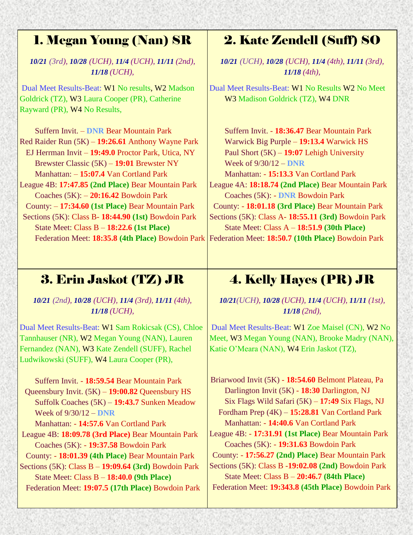## 1. Megan Young (Nan) SR

*10/21 (3rd), 10/28 (UCH), 11/4 (UCH), 11/11 (2nd), 11/18 (UCH),*

Dual Meet Results-Beat: W1 No results, W2 Madson Goldrick (TZ), W3 Laura Cooper (PR), Catherine Rayward (PR), W4 No Results,

 Suffern Invit. – **DNR** Bear Mountain Park Red Raider Run (5K) – **19:26.61** Anthony Wayne Park EJ Herrman Invit – **19:49.0** Proctor Park, Utica, NY Brewster Classic (5K) – **19:01** Brewster NY Manhattan: – **15:07.4** Van Cortland Park League 4B: **17:47.85 (2nd Place)** Bear Mountain Park Coaches (5K): – **20:16.42** Bowdoin Park County: – **17:34.60 (1st Place)** Bear Mountain Park Sections (5K): Class B- **18:44.90 (1st)** Bowdoin Park State Meet: Class B – **18:22.6 (1st Place)**

3. Erin Jaskot (TZ) JR

*10/21 (2nd), 10/28 (UCH), 11/4 (3rd), 11/11 (4th), 11/18 (UCH),*

Dual Meet Results-Beat: W1 Sam Rokicsak (CS), Chloe Tannhauser (NR), W2 Megan Young (NAN), Lauren Fernandez (NAN), W3 Kate Zendell (SUFF), Rachel Ludwikowski (SUFF), W4 Laura Cooper (PR),

 Suffern Invit. - **18:59.54** Bear Mountain Park Queensbury Invit. (5K) – **19:00.82** Queensbury HS Suffolk Coaches (5K) – **19:43.7** Sunken Meadow Week of 9/30/12 – **DNR**  Manhattan: - **14:57.6** Van Cortland Park League 4B: **18:09.78 (3rd Place)** Bear Mountain Park Coaches (5K): - **19:37.58** Bowdoin Park County: - **18:01.39 (4th Place)** Bear Mountain Park Sections (5K): Class B – **19:09.64 (3rd)** Bowdoin Park

State Meet: Class B – **18:40.0 (9th Place)** Federation Meet: **19:07.5 (17th Place)** Bowdoin Park

## 2. Kate Zendell (Suff) SO

*10/21 (UCH), 10/28 (UCH), 11/4 (4th), 11/11 (3rd), 11/18 (4th),*

Dual Meet Results-Beat: W1 No Results W2 No Meet W3 Madison Goldrick (TZ), W4 DNR

Federation Meet: **18:35.8 (4th Place)** Bowdoin Park Federation Meet: **18:50.7 (10th Place)** Bowdoin Park Suffern Invit. - **18:36.47** Bear Mountain Park Warwick Big Purple – **19:13.4** Warwick HS Paul Short (5K) – **19:07** Lehigh University Week of 9/30/12 – **DNR**  Manhattan: - **15:13.3** Van Cortland Park League 4A: **18:18.74 (2nd Place)** Bear Mountain Park Coaches (5K): - **DNR** Bowdoin Park County: - **18:01.18 (3rd Place)** Bear Mountain Park Sections (5K): Class A- **18:55.11 (3rd)** Bowdoin Park State Meet: Class A – **18:51.9 (30th Place)**

# 4. Kelly Hayes (PR) JR

*10/21(UCH), 10/28 (UCH), 11/4 (UCH), 11/11 (1st), 11/18 (2nd),*

Dual Meet Results-Beat: W1 Zoe Maisel (CN), W2 No Meet, W3 Megan Young (NAN), Brooke Madry (NAN), Katie O'Meara (NAN), W4 Erin Jaskot (TZ),

 Briarwood Invit (5K) - **18:54.60** Belmont Plateau, Pa Darlington Invit (5K) - **18:30** Darlington, NJ Six Flags Wild Safari (5K) – **17:49** Six Flags, NJ Fordham Prep (4K) – **15:28.81** Van Cortland Park Manhattan: - **14:40.6** Van Cortland Park League 4B: - **17:31.91 (1st Place)** Bear Mountain Park Coaches (5K): - **19:31.63** Bowdoin Park County: - **17:56.27 (2nd) Place)** Bear Mountain Park Sections (5K): Class B -**19:02.08 (2nd)** Bowdoin Park State Meet: Class B – **20:46.7 (84th Place)** Federation Meet: **19:343.8 (45th Place)** Bowdoin Park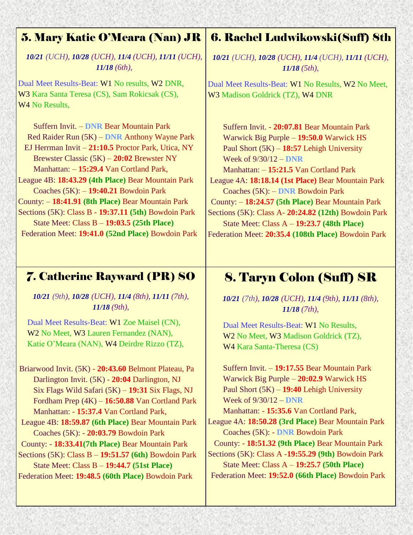#### 5. Mary Katie O'Meara (Nan) JR

*10/21 (UCH), 10/28 (UCH), 11/4 (UCH), 11/11 (UCH), 11/18 (6th),*

Dual Meet Results-Beat: W1 No results, W2 DNR, W3 Kara Santa Teresa (CS), Sam Rokicsak (CS), W<sub>4</sub> N<sub>o</sub> Results,

Suffern Invit. – **DNR** Bear Mountain Park Red Raider Run (5K) – **DNR** Anthony Wayne Park EJ Herrman Invit – **21:10.5** Proctor Park, Utica, NY Brewster Classic (5K) – **20:02** Brewster NY Manhattan: – **15:29.4** Van Cortland Park, League 4B: **18:43.29 (4th Place)** Bear Mountain Park Coaches (5K): – **19:40.21** Bowdoin Park County: – **18:41.91 (8th Place)** Bear Mountain Park Sections (5K): Class B - **19:37.11 (5th)** Bowdoin Park State Meet: Class B – **19:03.5 (25th Place)**

Federation Meet: **19:41.0 (52nd Place)** Bowdoin Park

## 6. Rachel Ludwikowski(Suff) 8th

*10/21 (UCH), 10/28 (UCH), 11/4 (UCH), 11/11 (UCH), 11/18 (5th),*

Dual Meet Results-Beat: W1 No Results, W2 No Meet, W3 Madison Goldrick (TZ), W4 DNR

Suffern Invit. - **20:07.81** Bear Mountain Park Warwick Big Purple – **19:50.0** Warwick HS Paul Short (5K) – **18:57** Lehigh University Week of 9/30/12 – **DNR**  Manhattan: – **15:21.5** Van Cortland Park League 4A: **18:18.14 (1st Place)** Bear Mountain Park Coaches (5K): – **DNR** Bowdoin Park County: – **18:24.57 (5th Place)** Bear Mountain Park Sections (5K): Class A- **20:24.82 (12th)** Bowdoin Park State Meet: Class A – **19:23.7 (48th Place)** Federation Meet: **20:35.4 (108th Place)** Bowdoin Park

#### 7. Catherine Rayward (PR) SO

*10/21 (9th), 10/28 (UCH), 11/4 (8th), 11/11 (7th), 11/18 (9th),*

Dual Meet Results-Beat: W1 Zoe Maisel (CN), W2 No Meet, W3 Lauren Fernandez (NAN), Katie O'Meara (NAN), W4 Deirdre Rizzo (TZ),

 Briarwood Invit. (5K) - **20:43.60** Belmont Plateau, Pa Darlington Invit. (5K) - **20:04** Darlington, NJ Six Flags Wild Safari (5K) – **19:31** Six Flags, NJ Fordham Prep (4K) – **16:50.88** Van Cortland Park Manhattan: - **15:37.4** Van Cortland Park,

- League 4B: **18:59.87 (6th Place)** Bear Mountain Park Coaches (5K): - **20:03.79** Bowdoin Park
- County: **18:33.41(7th Place)** Bear Mountain Park

Sections (5K): Class B – **19:51.57 (6th)** Bowdoin Park State Meet: Class B – **19:44.7 (51st Place)**

Federation Meet: **19:48.5 (60th Place)** Bowdoin Park

## 8. Taryn Colon (Suff) SR

*10/21 (7th), 10/28 (UCH), 11/4 (9th), 11/11 (8th), 11/18 (7th),*

Dual Meet Results-Beat: W1 No Results, W<sub>2</sub> No Meet, W<sub>3</sub> Madison Goldrick (TZ), W4 Kara Santa-Theresa (CS)

Suffern Invit. – **19:17.55** Bear Mountain Park Warwick Big Purple – **20:02.9** Warwick HS Paul Short (5K) – **19:40** Lehigh University Week of 9/30/12 – **DNR**

Manhattan: - **15:35.6** Van Cortland Park, League 4A: **18:50.28 (3rd Place)** Bear Mountain Park

Coaches (5K): - **DNR** Bowdoin Park County: - **18:51.32 (9th Place)** Bear Mountain Park

Sections (5K): Class A -**19:55.29 (9th)** Bowdoin Park State Meet: Class A – **19:25.7 (50th Place)** Federation Meet: **19:52.0 (66th Place)** Bowdoin Park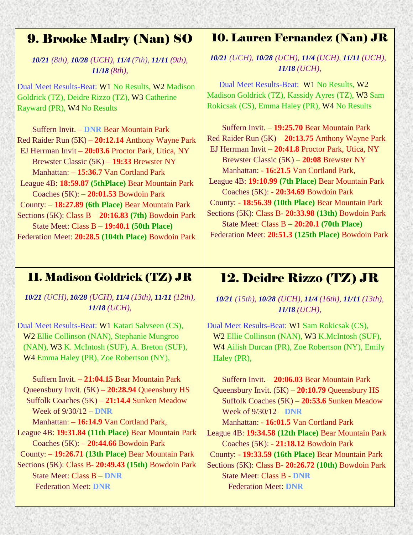## 9. Brooke Madry (Nan) SO

*10/21 (8th), 10/28 (UCH), 11/4 (7th), 11/11 (9th), 11/18 (8th),*

Dual Meet Results-Beat: W1 No Results, W2 Madison Goldrick (TZ), Deidre Rizzo (TZ), W3 Catherine Rayward (PR), W4 No Results

Suffern Invit. – **DNR** Bear Mountain Park Red Raider Run (5K) – **20:12.14** Anthony Wayne Park EJ Herrman Invit – **20:03.6** Proctor Park, Utica, NY Brewster Classic (5K) – **19:33** Brewster NY Manhattan: – **15:36.7** Van Cortland Park League 4B: **18:59.87 (5thPlace)** Bear Mountain Park Coaches (5K): – **20:01.53** Bowdoin Park County: – **18:27.89 (6th Place)** Bear Mountain Park Sections (5K): Class B – **20:16.83 (7th)** Bowdoin Park State Meet: Class B – **19:40.1 (50th Place)** Federation Meet: **20:28.5 (104th Place)** Bowdoin Park

#### 10. Lauren Fernandez (Nan) JR

*10/21 (UCH), 10/28 (UCH), 11/4 (UCH), 11/11 (UCH), 11/18 (UCH),*

 Dual Meet Results-Beat: W1 No Results, W2 Madison Goldrick (TZ), Kassidy Ayres (TZ), W3 Sam Rokicsak (CS), Emma Haley (PR), W4 No Results

 Suffern Invit. – **19:25.70** Bear Mountain Park Red Raider Run (5K) – **20:13.75** Anthony Wayne Park EJ Herrman Invit – **20:41.8** Proctor Park, Utica, NY Brewster Classic (5K) – **20:08** Brewster NY Manhattan: - **16:21.5** Van Cortland Park, League 4B: **19:10.99 (7th Place)** Bear Mountain Park Coaches (5K): - **20:34.69** Bowdoin Park County: - **18:56.39 (10th Place)** Bear Mountain Park Sections (5K): Class B- **20:33.98 (13th)** Bowdoin Park State Meet: Class B – **20:20.1 (70th Place)** Federation Meet: **20:51.3 (125th Place)** Bowdoin Park

#### 11. Madison Goldrick (TZ) JR

*10/21 (UCH), 10/28 (UCH), 11/4 (13th), 11/11 (12th), 11/18 (UCH),*

Dual Meet Results-Beat: W1 Katari Salvseen (CS), W2 Ellie Collinson (NAN), Stephanie Mungroo (NAN), W3 K. McIntosh (SUF), A. Breton (SUF), W4 Emma Haley (PR), Zoe Robertson (NY),

Suffern Invit. – **21:04.15** Bear Mountain Park Queensbury Invit. (5K) – **20:28.94** Queensbury HS Suffolk Coaches (5K) – **21:14.4** Sunken Meadow Week of 9/30/12 – **DNR**  Manhattan: – **16:14.9** Van Cortland Park, League 4B: **19:31.84 (11th Place)** Bear Mountain Park Coaches (5K): – **20:44.66** Bowdoin Park County: – **19:26.71 (13th Place)** Bear Mountain Park Sections (5K): Class B- **20:49.43 (15th)** Bowdoin Park State Meet: Class B – **DNR** Federation Meet: **DNR**

## 12. Deidre Rizzo (TZ) JR

*10/21 (15th), 10/28 (UCH), 11/4 (16th), 11/11 (13th), 11/18 (UCH),*

Dual Meet Results-Beat: W1 Sam Rokicsak (CS), W2 Ellie Collinson (NAN), W3 K.McIntosh (SUF), W4 Ailish Durcan (PR), Zoe Robertson (NY), Emily Haley (PR),

Suffern Invit. – **20:06.03** Bear Mountain Park Queensbury Invit. (5K) – **20:10.79** Queensbury HS Suffolk Coaches (5K) – **20:53.6** Sunken Meadow Week of 9/30/12 – **DNR**

Manhattan: - **16:01.5** Van Cortland Park League 4B: **19:34.58 (12th Place)** Bear Mountain Park Coaches (5K): - **21:18.12** Bowdoin Park

County: - **19:33.59 (16th Place)** Bear Mountain Park Sections (5K): Class B- **20:26.72 (10th)** Bowdoin Park State Meet: Class B - **DNR** Federation Meet: **DNR**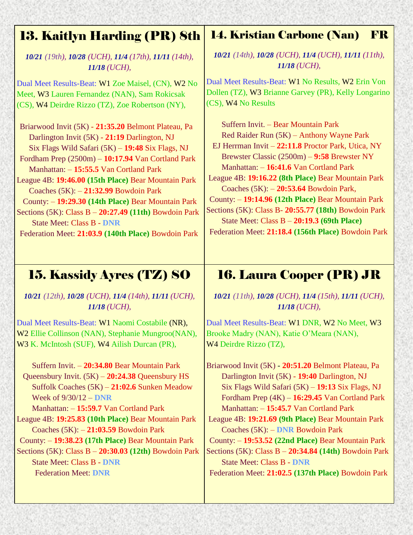## 13. Kaitlyn Harding (PR) 8th

*10/21 (19th), 10/28 (UCH), 11/4 (17th), 11/11 (14th), 11/18 (UCH),*

Dual Meet Results-Beat: W1 Zoe Maisel, (CN), W2 No Meet, W3 Lauren Fernandez (NAN), Sam Rokicsak (CS), W4 Deirdre Rizzo (TZ), Zoe Robertson (NY),

Briarwood Invit (5K) - **21:35.20** Belmont Plateau, Pa Darlington Invit (5K) - **21:19** Darlington, NJ Six Flags Wild Safari (5K) – **19:48** Six Flags, NJ Fordham Prep (2500m) – **10:17.94** Van Cortland Park

Manhattan: – **15:55.5** Van Cortland Park

League 4B: **19:46.00 (15th Place)** Bear Mountain Park Coaches (5K): – **21:32.99** Bowdoin Park

County: – **19:29.30 (14th Place)** Bear Mountain Park Sections (5K): Class B – **20:27.49 (11th)** Bowdoin Park State Meet: Class B - **DNR**

Federation Meet: **21:03.9 (140th Place)** Bowdoin Park

## 14. Kristian Carbone (Nan) FR

*10/21 (14th), 10/28 (UCH), 11/4 (UCH), 11/11 (11th), 11/18 (UCH),*

Dual Meet Results-Beat: W1 No Results, W2 Erin Von Dollen (TZ), W3 Brianne Garvey (PR), Kelly Longarino (CS), W4 No Results

Suffern Invit. – Bear Mountain Park Red Raider Run (5K) – Anthony Wayne Park EJ Herrman Invit – **22:11.8** Proctor Park, Utica, NY Brewster Classic (2500m) – **9:58** Brewster NY Manhattan: – **16:41.6** Van Cortland Park League 4B: **19:16.22 (8th Place)** Bear Mountain Park Coaches (5K): – **20:53.64** Bowdoin Park, County: – **19:14.96 (12th Place)** Bear Mountain Park Sections (5K): Class B- **20:55.77 (18th)** Bowdoin Park State Meet: Class B – **20:19.3 (69th Place)**

Federation Meet: **21:18.4 (156th Place)** Bowdoin Park

# 15. Kassidy Ayres (TZ) SO

*10/21 (12th), 10/28 (UCH), 11/4 (14th), 11/11 (UCH), 11/18 (UCH),*

Dual Meet Results-Beat: W1 Naomi Costabile (NR), W2 Ellie Collinson (NAN), Stephanie Mungroo(NAN), W3 K. McIntosh (SUF), W4 Ailish Durcan (PR),

Suffern Invit. – **20:34.80** Bear Mountain Park Queensbury Invit. (5K) – **20:24.38** Queensbury HS Suffolk Coaches (5K) – **21:02.6** Sunken Meadow Week of 9/30/12 – **DNR**

Manhattan: – **15:59.7** Van Cortland Park

League 4B: **19:25.83 (10th Place)** Bear Mountain Park Coaches (5K): – **21:03.59** Bowdoin Park

County: – **19:38.23 (17th Place)** Bear Mountain Park

Sections (5K): Class B – **20:30.03 (12th)** Bowdoin Park State Meet: Class B - **DNR** Federation Meet: **DNR**

# 16. Laura Cooper (PR) JR

*10/21 (11th), 10/28 (UCH), 11/4 (15th), 11/11 (UCH), 11/18 (UCH),*

Dual Meet Results-Beat: W1 DNR, W2 No Meet, W3 Brooke Madry (NAN), Katie O'Meara (NAN), W4 Deirdre Rizzo (TZ),

Briarwood Invit (5K) - **20:51.20** Belmont Plateau, Pa Darlington Invit (5K) - **19:40** Darlington, NJ Six Flags Wild Safari (5K) – **19:13** Six Flags, NJ Fordham Prep (4K) – **16:29.45** Van Cortland Park Manhattan: – **15:45.7** Van Cortland Park

League 4B: **19:21.69 (9th Place)** Bear Mountain Park Coaches (5K): – **DNR** Bowdoin Park

County: – **19:53.52 (22nd Place)** Bear Mountain Park Sections (5K): Class B – **20:34.84 (14th)** Bowdoin Park State Meet: Class B - **DNR**

Federation Meet: **21:02.5 (137th Place)** Bowdoin Park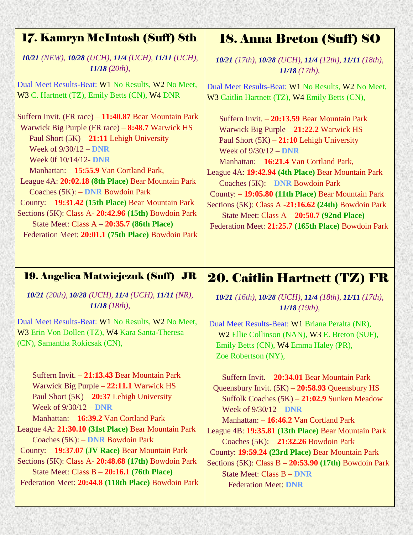| <b>17. Kamryn McIntosh (Suff) 8th</b>                                                                                                                                                                                                                                                                                                                                                                                                                                                                                                                                 | <b>18. Anna Breton (Suff) SO</b>                                                                                                                                                                                                                                                                                                                                                                                                                                                                                           |
|-----------------------------------------------------------------------------------------------------------------------------------------------------------------------------------------------------------------------------------------------------------------------------------------------------------------------------------------------------------------------------------------------------------------------------------------------------------------------------------------------------------------------------------------------------------------------|----------------------------------------------------------------------------------------------------------------------------------------------------------------------------------------------------------------------------------------------------------------------------------------------------------------------------------------------------------------------------------------------------------------------------------------------------------------------------------------------------------------------------|
| 10/21 (NEW), 10/28 (UCH), 11/4 (UCH), 11/11 (UCH),                                                                                                                                                                                                                                                                                                                                                                                                                                                                                                                    | 10/21 (17th), 10/28 (UCH), 11/4 (12th), 11/11 (18th),                                                                                                                                                                                                                                                                                                                                                                                                                                                                      |
| $11/18$ (20th),                                                                                                                                                                                                                                                                                                                                                                                                                                                                                                                                                       | $11/18$ (17th),                                                                                                                                                                                                                                                                                                                                                                                                                                                                                                            |
| Dual Meet Results-Beat: W1 No Results, W2 No Meet,                                                                                                                                                                                                                                                                                                                                                                                                                                                                                                                    | Dual Meet Results-Beat: W1 No Results, W2 No Meet,                                                                                                                                                                                                                                                                                                                                                                                                                                                                         |
| W3 C. Hartnett (TZ), Emily Betts (CN), W4 DNR                                                                                                                                                                                                                                                                                                                                                                                                                                                                                                                         | W3 Caitlin Hartnett (TZ), W4 Emily Betts (CN),                                                                                                                                                                                                                                                                                                                                                                                                                                                                             |
| Suffern Invit. (FR race) - 11:40.87 Bear Mountain Park<br>Warwick Big Purple (FR race) – 8:48.7 Warwick HS<br>Paul Short $(5K)$ – 21:11 Lehigh University<br>Week of $9/30/12 -$ DNR<br>Week 0f 10/14/12- DNR<br>Manhattan: -15:55.9 Van Cortland Park,<br>League 4A: 20:02.18 (8th Place) Bear Mountain Park<br>Coaches (5K): - DNR Bowdoin Park<br>County: - 19:31.42 (15th Place) Bear Mountain Park<br>Sections (5K): Class A- 20:42.96 (15th) Bowdoin Park<br>State Meet: Class $A - 20:35.7$ (86th Place)<br>Federation Meet: 20:01.1 (75th Place) Bowdoin Park | Suffern Invit. - 20:13.59 Bear Mountain Park<br>Warwick Big Purple - 21:22.2 Warwick HS<br>Paul Short $(5K) - 21:10$ Lehigh University<br>Week of $9/30/12 -$ DNR<br>Manhattan: -16:21.4 Van Cortland Park,<br>League 4A: 19:42.94 (4th Place) Bear Mountain Park<br>Coaches (5K): - DNR Bowdoin Park<br>County: - 19:05.80 (11th Place) Bear Mountain Park<br>Sections (5K): Class A -21:16.62 (24th) Bowdoin Park<br>State Meet: Class $A - 20:50.7$ (92nd Place)<br>Federation Meet: 21:25.7 (165th Place) Bowdoin Park |
| <b>19. Angelica Matwiejczuk (Suff) JR</b>                                                                                                                                                                                                                                                                                                                                                                                                                                                                                                                             | <b>20. Caitlin Hartnett (TZ) FR</b>                                                                                                                                                                                                                                                                                                                                                                                                                                                                                        |
| 10/21 (20th), 10/28 (UCH), 11/4 (UCH), 11/11 (NR),                                                                                                                                                                                                                                                                                                                                                                                                                                                                                                                    | 10/21 (16th), 10/28 (UCH), 11/4 (18th), 11/11 (17th),                                                                                                                                                                                                                                                                                                                                                                                                                                                                      |
| $11/18$ (18th),                                                                                                                                                                                                                                                                                                                                                                                                                                                                                                                                                       | $11/18$ (19th),                                                                                                                                                                                                                                                                                                                                                                                                                                                                                                            |
| Dual Meet Results-Beat: W1 No Results, W2 No Meet,<br>W3 Erin Von Dollen (TZ), W4 Kara Santa-Theresa<br>(CN), Samantha Rokicsak (CN),                                                                                                                                                                                                                                                                                                                                                                                                                                 | Dual Meet Results-Beat: W1 Briana Peralta (NR),<br>W2 Ellie Collinson (NAN), W3 E. Breton (SUF),<br>Emily Betts (CN), W4 Emma Haley (PR),<br>Zoe Robertson (NY),                                                                                                                                                                                                                                                                                                                                                           |
| Suffern Invit. - 21:13.43 Bear Mountain Park                                                                                                                                                                                                                                                                                                                                                                                                                                                                                                                          | Suffern Invit. - 20:34.01 Bear Mountain Park                                                                                                                                                                                                                                                                                                                                                                                                                                                                               |
| Warwick Big Purple - 22:11.1 Warwick HS                                                                                                                                                                                                                                                                                                                                                                                                                                                                                                                               | Queensbury Invit. $(5K) - 20:58.93$ Queensbury HS                                                                                                                                                                                                                                                                                                                                                                                                                                                                          |
| Paul Short $(5K)$ – 20:37 Lehigh University                                                                                                                                                                                                                                                                                                                                                                                                                                                                                                                           | Suffolk Coaches (5K) - 21:02.9 Sunken Meadow                                                                                                                                                                                                                                                                                                                                                                                                                                                                               |
| Week of $9/30/12 -$ DNR                                                                                                                                                                                                                                                                                                                                                                                                                                                                                                                                               | Week of $9/30/12 -$ DNR                                                                                                                                                                                                                                                                                                                                                                                                                                                                                                    |
| Manhattan: -16:39.2 Van Cortland Park                                                                                                                                                                                                                                                                                                                                                                                                                                                                                                                                 | Manhattan: -16:46.2 Van Cortland Park                                                                                                                                                                                                                                                                                                                                                                                                                                                                                      |
| League 4A: 21:30.10 (31st Place) Bear Mountain Park                                                                                                                                                                                                                                                                                                                                                                                                                                                                                                                   | League 4B: 19:35.81 (13th Place) Bear Mountain Park                                                                                                                                                                                                                                                                                                                                                                                                                                                                        |
| Coaches (5K): - DNR Bowdoin Park                                                                                                                                                                                                                                                                                                                                                                                                                                                                                                                                      | Coaches $(5K)$ : $-21:32.26$ Bowdoin Park                                                                                                                                                                                                                                                                                                                                                                                                                                                                                  |
| County: -19:37.07 (JV Race) Bear Mountain Park                                                                                                                                                                                                                                                                                                                                                                                                                                                                                                                        | County: 19:59.24 (23rd Place) Bear Mountain Park                                                                                                                                                                                                                                                                                                                                                                                                                                                                           |
| Sections (5K): Class A- 20:48.68 (17th) Bowdoin Park                                                                                                                                                                                                                                                                                                                                                                                                                                                                                                                  | Sections $(5K)$ : Class B $-20:53.90$ $(17th)$ Bowdoin Park                                                                                                                                                                                                                                                                                                                                                                                                                                                                |
| State Meet: Class $B - 20:16.1$ (76th Place)                                                                                                                                                                                                                                                                                                                                                                                                                                                                                                                          | <b>State Meet: Class B - DNR</b>                                                                                                                                                                                                                                                                                                                                                                                                                                                                                           |
| Federation Meet: 20:44.8 (118th Place) Bowdoin Park                                                                                                                                                                                                                                                                                                                                                                                                                                                                                                                   | <b>Federation Meet: DNR</b>                                                                                                                                                                                                                                                                                                                                                                                                                                                                                                |

Federation Meet: **DNR**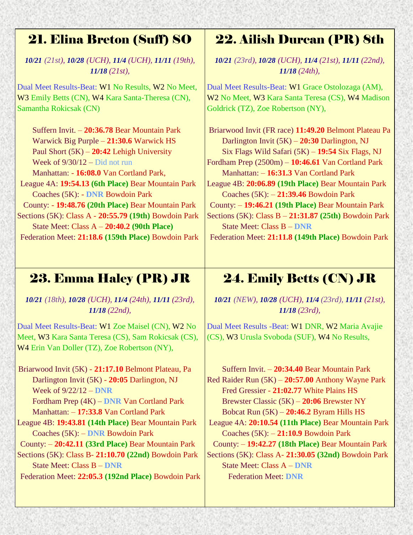## 21. Elina Breton (Suff) SO

*10/21 (21st), 10/28 (UCH), 11/4 (UCH), 11/11 (19th), 11/18 (21st),*

Dual Meet Results-Beat: W1 No Results, W2 No Meet, W3 Emily Betts (CN), W4 Kara Santa-Theresa (CN), Samantha Rokicsak (CN)

Suffern Invit. – **20:36.78** Bear Mountain Park Warwick Big Purple – **21:30.6** Warwick HS Paul Short (5K) – **20:42** Lehigh University Week of  $9/30/12 -$ Did not run

Manhattan: - **16:08.0** Van Cortland Park,

- League 4A: **19:54.13 (6th Place)** Bear Mountain Park Coaches (5K): - **DNR** Bowdoin Park
- County: **19:48.76 (20th Place)** Bear Mountain Park Sections (5K): Class A - **20:55.79 (19th)** Bowdoin Park State Meet: Class A – **20:40.2 (90th Place)**

Federation Meet: **21:18.6 (159th Place)** Bowdoin Park

# 22. Ailish Durcan (PR) 8th

*10/21 (23rd), 10/28 (UCH), 11/4 (21st), 11/11 (22nd), 11/18 (24th),*

Dual Meet Results-Beat: W1 Grace Ostolozaga (AM), W2 No Meet, W3 Kara Santa Teresa (CS), W4 Madison Goldrick (TZ), Zoe Robertson (NY),

Briarwood Invit (FR race) **11:49.20** Belmont Plateau Pa Darlington Invit (5K) – **20:30** Darlington, NJ Six Flags Wild Safari (5K) – **19:54** Six Flags, NJ Fordham Prep (2500m) – **10:46.61** Van Cortland Park Manhattan: – **16:31.3** Van Cortland Park League 4B: **20:06.89 (19th Place)** Bear Mountain Park Coaches (5K): – **21:39.46** Bowdoin Park County: – **19:46.21 (19th Place)** Bear Mountain Park Sections (5K): Class B – **21:31.87 (25th)** Bowdoin Park State Meet: Class B – **DNR**

Federation Meet: **21:11.8 (149th Place)** Bowdoin Park

# 23. Emma Haley (PR) JR

*10/21 (18th), 10/28 (UCH), 11/4 (24th), 11/11 (23rd), 11/18 (22nd),*

Dual Meet Results-Beat: W1 Zoe Maisel (CN), W2 No Meet, W3 Kara Santa Teresa (CS), Sam Rokicsak (CS), W4 Erin Van Doller (TZ), Zoe Robertson (NY),

 Briarwood Invit (5K) - **21:17.10** Belmont Plateau, Pa Darlington Invit (5K) - **20:05** Darlington, NJ Week of 9/22/12 – **DNR**  Fordham Prep (4K) – **DNR** Van Cortland Park Manhattan: – **17:33.8** Van Cortland Park League 4B: **19:43.81 (14th Place)** Bear Mountain Park

Coaches (5K): – **DNR** Bowdoin Park County: – **20:42.11 (33rd Place)** Bear Mountain Park

Sections (5K): Class B- **21:10.70 (22nd)** Bowdoin Park State Meet: Class B – **DNR**

Federation Meet: **22:05.3 (192nd Place)** Bowdoin Park

# 24. Emily Betts (CN) JR

*10/21 (NEW), 10/28 (UCH), 11/4 (23rd), 11/11 (21st), 11/18 (23rd),*

Dual Meet Results -Beat: W1 DNR, W2 Maria Avajie (CS), W3 Urusla Svoboda (SUF), W4 No Results,

 Suffern Invit. – **20:34.40** Bear Mountain Park Red Raider Run (5K) – **20:57.00** Anthony Wayne Park Fred Gressier - **21:02.77** White Plains HS Brewster Classic (5K) – **20:06** Brewster NY Bobcat Run (5K) – **20:46.2** Byram Hills HS League 4A: **20:10.54 (11th Place)** Bear Mountain Park Coaches (5K): – **21:10.9** Bowdoin Park County: – **19:42.27 (18th Place)** Bear Mountain Park Sections (5K): Class A- **21:30.05 (32nd)** Bowdoin Park State Meet: Class A – **DNR** Federation Meet: **DNR**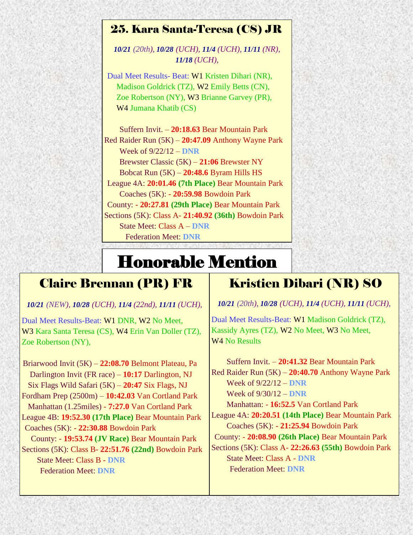#### 25. Kara Santa-Teresa (CS) JR

*10/21 (20th), 10/28 (UCH), 11/4 (UCH), 11/11 (NR), 11/18 (UCH),*

Dual Meet Results- Beat: W1 Kristen Dihari (NR), Madison Goldrick (TZ), W2 Emily Betts (CN), Zoe Robertson (NY), W3 Brianne Garvey (PR), W4 Jumana Khatib (CS)

Suffern Invit. – **20:18.63** Bear Mountain Park Red Raider Run (5K) – **20:47.09** Anthony Wayne Park Week of 9/22/12 – **DNR** Brewster Classic (5K) – **21:06** Brewster NY Bobcat Run (5K) – **20:48.6** Byram Hills HS League 4A: **20:01.46 (7th Place)** Bear Mountain Park Coaches (5K): - **20:59.98** Bowdoin Park County: - **20:27.81 (29th Place)** Bear Mountain Park Sections (5K): Class A- **21:40.92 (36th)** Bowdoin Park State Meet: Class A – **DNR** Federation Meet: **DNR**

# Honorable Mention

#### Claire Brennan (PR) FR

*10/21 (NEW), 10/28 (UCH), 11/4 (22nd), 11/11 (UCH),*

Dual Meet Results-Beat: W1 DNR, W2 No Meet, W3 Kara Santa Teresa (CS), W4 Erin Van Doller (TZ), Zoe Robertson (NY),

 Briarwood Invit (5K) – **22:08.70** Belmont Plateau, Pa Darlington Invit (FR race) – **10:17** Darlington, NJ Six Flags Wild Safari (5K) – **20:47** Six Flags, NJ Fordham Prep (2500m) – **10:42.03** Van Cortland Park Manhattan (1.25miles) - **7:27.0** Van Cortland Park League 4B: **19:52.30 (17th Place)** Bear Mountain Park Coaches (5K): - **22:30.88** Bowdoin Park County: - **19:53.74 (JV Race)** Bear Mountain Park Sections (5K): Class B- **22:51.76 (22nd)** Bowdoin Park State Meet: Class B - **DNR**

Federation Meet: **DNR**

#### Kristien Dibari (NR) SO

*10/21 (20th), 10/28 (UCH), 11/4 (UCH), 11/11 (UCH),*

Dual Meet Results-Beat: W1 Madison Goldrick (TZ), Kassidy Ayres (TZ), W2 No Meet, W3 No Meet, W<sub>4</sub> N<sub>o</sub> Results

 Suffern Invit. – **20:41.32** Bear Mountain Park Red Raider Run (5K) – **20:40.70** Anthony Wayne Park Week of 9/22/12 – **DNR**  Week of 9/30/12 – **DNR**  Manhattan: - **16:52.5** Van Cortland Park League 4A: **20:20.51 (14th Place)** Bear Mountain Park Coaches (5K): - **21:25.94** Bowdoin Park County: - **20:08.90 (26th Place)** Bear Mountain Park Sections (5K): Class A- **22:26.63 (55th)** Bowdoin Park State Meet: Class A - **DNR** Federation Meet: **DNR**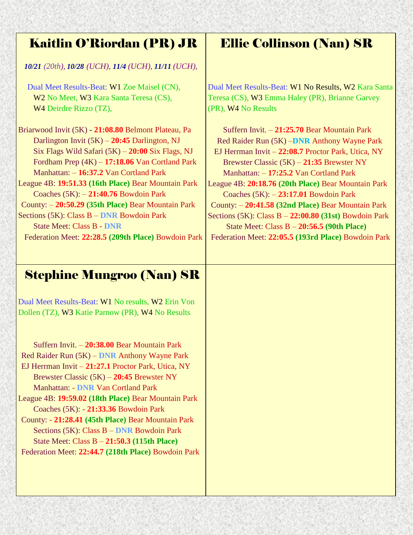## Kaitlin O'Riordan (PR) JR

*10/21 (20th), 10/28 (UCH), 11/4 (UCH), 11/11 (UCH),*

Dual Meet Results-Beat: W1 Zoe Maisel (CN), W<sub>2</sub> No Meet, W<sub>3</sub> Kara Santa Teresa (CS), W4 Deirdre Rizzo (TZ),

Briarwood Invit (5K) - **21:08.80** Belmont Plateau, Pa Darlington Invit (5K) – **20:45** Darlington, NJ Six Flags Wild Safari (5K) – **20:00** Six Flags, NJ Fordham Prep (4K) – **17:18.06** Van Cortland Park Manhattan: – **16:37.2** Van Cortland Park League 4B: **19:51.33 (16th Place)** Bear Mountain Park Coaches (5K): – **21:40.76** Bowdoin Park County: – **20:50.29 (35th Place)** Bear Mountain Park

Sections (5K): Class B – **DNR** Bowdoin Park State Meet: Class B - **DNR** Federation Meet: **22:28.5 (209th Place)** Bowdoin Park

## Ellie Collinson (Nan) SR

Dual Meet Results-Beat: W1 No Results, W2 Kara Santa Teresa (CS), W3 Emma Haley (PR), Brianne Garvey (PR), W4 No Results

Suffern Invit. – **21:25.70** Bear Mountain Park Red Raider Run (5K) –**DNR** Anthony Wayne Park EJ Herrman Invit – **22:08.7** Proctor Park, Utica, NY Brewster Classic (5K) – **21:35** Brewster NY Manhattan: – **17:25.2** Van Cortland Park League 4B: **20:18.76 (20th Place)** Bear Mountain Park Coaches (5K): – **23:17.01** Bowdoin Park County: – **20:41.58 (32nd Place)** Bear Mountain Park Sections (5K): Class B – **22:00.80 (31st)** Bowdoin Park State Meet: Class B – **20:56.5 (90th Place)** Federation Meet: **22:05.5 (193rd Place)** Bowdoin Park

## Stephine Mungroo (Nan) SR

Dual Meet Results-Beat: W1 No results, W2 Erin Von Dollen (TZ), W3 Katie Parnow (PR), W4 No Results

Suffern Invit. – **20:38.00** Bear Mountain Park Red Raider Run (5K) – **DNR** Anthony Wayne Park EJ Herrman Invit – **21:27.1** Proctor Park, Utica, NY Brewster Classic (5K) – **20:45** Brewster NY Manhattan: - **DNR** Van Cortland Park League 4B: **19:59.02 (18th Place)** Bear Mountain Park Coaches (5K): - **21:33.36** Bowdoin Park County: - **21:28.41 (45th Place)** Bear Mountain Park Sections (5K): Class B – **DNR** Bowdoin Park State Meet: Class B – **21:50.3 (115th Place)**

Federation Meet: **22:44.7 (218th Place)** Bowdoin Park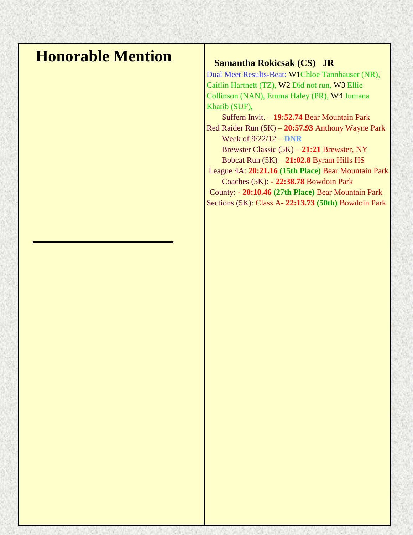# **Honorable Mention** Samantha Rokicsak (CS) JR

Dual Meet Results-Beat: W1Chloe Tannhauser (NR), Caitlin Hartnett (TZ), W2 Did not run, W3 Ellie Collinson (NAN), Emma Haley (PR), W4 Jumana Khatib (SUF),

 Suffern Invit. – **19:52.74** Bear Mountain Park Red Raider Run (5K) – **20:57.93** Anthony Wayne Park Week of 9/22/12 – **DNR**

Brewster Classic (5K) – **21:21** Brewster, NY Bobcat Run (5K) – **21:02.8** Byram Hills HS League 4A: **20:21.16 (15th Place)** Bear Mountain Park

Coaches (5K): - **22:38.78** Bowdoin Park

County: - **20:10.46 (27th Place)** Bear Mountain Park Sections (5K): Class A- **22:13.73 (50th)** Bowdoin Park